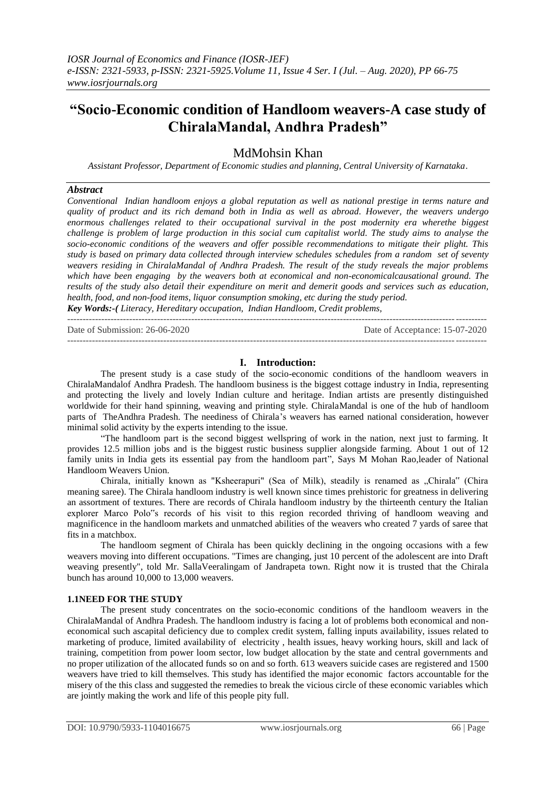## **"Socio-Economic condition of Handloom weavers-A case study of ChiralaMandal, Andhra Pradesh"**

### MdMohsin Khan

*Assistant Professor, Department of Economic studies and planning, Central University of Karnataka*.

#### *Abstract*

*Conventional Indian handloom enjoys a global reputation as well as national prestige in terms nature and quality of product and its rich demand both in India as well as abroad. However, the weavers undergo enormous challenges related to their occupational survival in the post modernity era wherethe biggest challenge is problem of large production in this social cum capitalist world. The study aims to analyse the socio-economic conditions of the weavers and offer possible recommendations to mitigate their plight. This study is based on primary data collected through interview schedules schedules from a random set of seventy weavers residing in ChiralaMandal of Andhra Pradesh. The result of the study reveals the major problems which have been engaging by the weavers both at economical and non-economicalcausational ground. The results of the study also detail their expenditure on merit and demerit goods and services such as education, health, food, and non-food items, liquor consumption smoking, etc during the study period. Key Words:-( Literacy, Hereditary occupation, Indian Handloom, Credit problems,* 

---------------------------------------------------------------------------------------------------------------------------------------

Date of Submission: 26-06-2020 Date of Acceptance: 15-07-2020 ---------------------------------------------------------------------------------------------------------------------------------------

#### **I. Introduction:**

The present study is a case study of the socio-economic conditions of the handloom weavers in ChiralaMandalof Andhra Pradesh. The handloom business is the biggest cottage industry in India, representing and protecting the lively and lovely Indian culture and heritage. Indian artists are presently distinguished worldwide for their hand spinning, weaving and printing style. ChiralaMandal is one of the hub of handloom parts of TheAndhra Pradesh. The neediness of Chirala's weavers has earned national consideration, however minimal solid activity by the experts intending to the issue.

"The handloom part is the second biggest wellspring of work in the nation, next just to farming. It provides 12.5 million jobs and is the biggest rustic business supplier alongside farming. About 1 out of 12 family units in India gets its essential pay from the handloom part", Says M Mohan Rao,leader of National Handloom Weavers Union.

Chirala, initially known as "Ksheerapuri" (Sea of Milk), steadily is renamed as "Chirala" (Chira meaning saree). The Chirala handloom industry is well known since times prehistoric for greatness in delivering an assortment of textures. There are records of Chirala handloom industry by the thirteenth century the Italian explorer Marco Polo"s records of his visit to this region recorded thriving of handloom weaving and magnificence in the handloom markets and unmatched abilities of the weavers who created 7 yards of saree that fits in a matchbox.

The handloom segment of Chirala has been quickly declining in the ongoing occasions with a few weavers moving into different occupations. "Times are changing, just 10 percent of the adolescent are into Draft weaving presently", told Mr. SallaVeeralingam of Jandrapeta town. Right now it is trusted that the Chirala bunch has around 10,000 to 13,000 weavers.

#### **1.1NEED FOR THE STUDY**

The present study concentrates on the socio-economic conditions of the handloom weavers in the ChiralaMandal of Andhra Pradesh. The handloom industry is facing a lot of problems both economical and noneconomical such ascapital deficiency due to complex credit system, falling inputs availability, issues related to marketing of produce, limited availability of electricity , health issues, heavy working hours, skill and lack of training, competition from power loom sector, low budget allocation by the state and central governments and no proper utilization of the allocated funds so on and so forth. 613 weavers suicide cases are registered and 1500 weavers have tried to kill themselves. This study has identified the major economic factors accountable for the misery of the this class and suggested the remedies to break the vicious circle of these economic variables which are jointly making the work and life of this people pity full.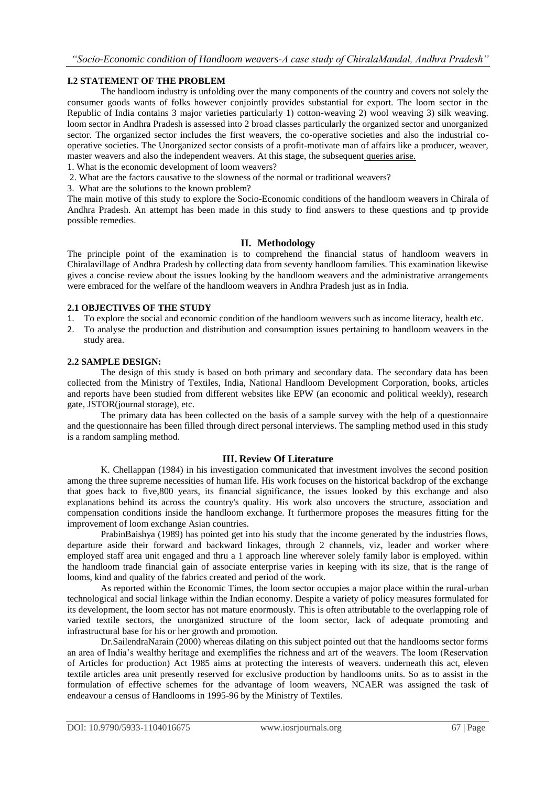#### **I.2 STATEMENT OF THE PROBLEM**

The handloom industry is unfolding over the many components of the country and covers not solely the consumer goods wants of folks however conjointly provides substantial for export. The loom sector in the Republic of India contains 3 major varieties particularly 1) cotton-weaving 2) wool weaving 3) silk weaving. loom sector in Andhra Pradesh is assessed into 2 broad classes particularly the organized sector and unorganized sector. The organized sector includes the first weavers, the co-operative societies and also the industrial cooperative societies. The Unorganized sector consists of a profit-motivate man of affairs like a producer, weaver, master weavers and also the independent weavers. At this stage, the subsequent queries arise.

- 1. What is the economic development of loom weavers?
- 2. What are the factors causative to the slowness of the normal or traditional weavers?
- 3. What are the solutions to the known problem?

The main motive of this study to explore the Socio-Economic conditions of the handloom weavers in Chirala of Andhra Pradesh. An attempt has been made in this study to find answers to these questions and tp provide possible remedies.

#### **II. Methodology**

The principle point of the examination is to comprehend the financial status of handloom weavers in Chiralavillage of Andhra Pradesh by collecting data from seventy handloom families. This examination likewise gives a concise review about the issues looking by the handloom weavers and the administrative arrangements were embraced for the welfare of the handloom weavers in Andhra Pradesh just as in India.

#### **2.1 OBJECTIVES OF THE STUDY**

- 1. To explore the social and economic condition of the handloom weavers such as income literacy, health etc.
- 2. To analyse the production and distribution and consumption issues pertaining to handloom weavers in the study area.

#### **2.2 SAMPLE DESIGN:**

The design of this study is based on both primary and secondary data. The secondary data has been collected from the Ministry of Textiles, India, National Handloom Development Corporation, books, articles and reports have been studied from different websites like EPW (an economic and political weekly), research gate, JSTOR(journal storage), etc.

The primary data has been collected on the basis of a sample survey with the help of a questionnaire and the questionnaire has been filled through direct personal interviews. The sampling method used in this study is a random sampling method.

#### **III. Review Of Literature**

K. Chellappan (1984) in his investigation communicated that investment involves the second position among the three supreme necessities of human life. His work focuses on the historical backdrop of the exchange that goes back to five,800 years, its financial significance, the issues looked by this exchange and also explanations behind its across the country's quality. His work also uncovers the structure, association and compensation conditions inside the handloom exchange. It furthermore proposes the measures fitting for the improvement of loom exchange Asian countries.

PrabinBaishya (1989) has pointed get into his study that the income generated by the industries flows, departure aside their forward and backward linkages, through 2 channels, viz, leader and worker where employed staff area unit engaged and thru a 1 approach line wherever solely family labor is employed. within the handloom trade financial gain of associate enterprise varies in keeping with its size, that is the range of looms, kind and quality of the fabrics created and period of the work.

As reported within the Economic Times, the loom sector occupies a major place within the rural-urban technological and social linkage within the Indian economy. Despite a variety of policy measures formulated for its development, the loom sector has not mature enormously. This is often attributable to the overlapping role of varied textile sectors, the unorganized structure of the loom sector, lack of adequate promoting and infrastructural base for his or her growth and promotion.

Dr.SailendraNarain (2000) whereas dilating on this subject pointed out that the handlooms sector forms an area of India's wealthy heritage and exemplifies the richness and art of the weavers. The loom (Reservation of Articles for production) Act 1985 aims at protecting the interests of weavers. underneath this act, eleven textile articles area unit presently reserved for exclusive production by handlooms units. So as to assist in the formulation of effective schemes for the advantage of loom weavers, NCAER was assigned the task of endeavour a census of Handlooms in 1995-96 by the Ministry of Textiles.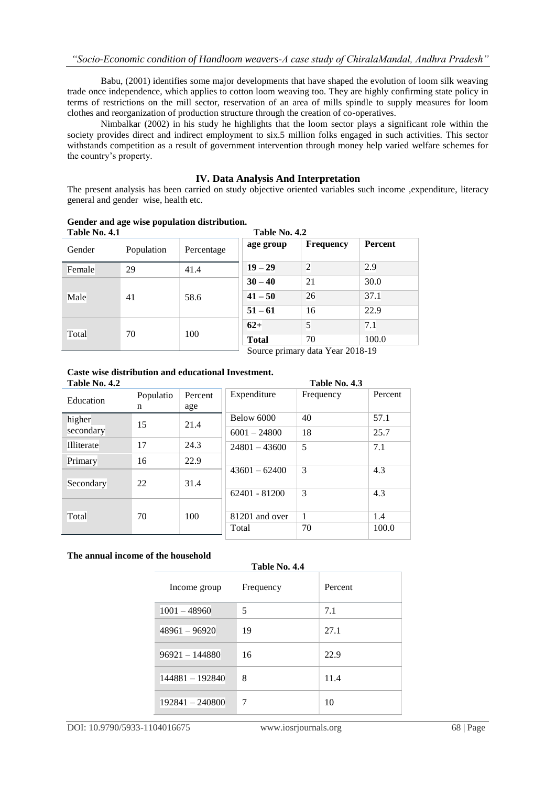Babu, (2001) identifies some major developments that have shaped the evolution of loom silk weaving trade once independence, which applies to cotton loom weaving too. They are highly confirming state policy in terms of restrictions on the mill sector, reservation of an area of mills spindle to supply measures for loom clothes and reorganization of production structure through the creation of co-operatives.

Nimbalkar (2002) in his study he highlights that the loom sector plays a significant role within the society provides direct and indirect employment to six.5 million folks engaged in such activities. This sector withstands competition as a result of government intervention through money help varied welfare schemes for the country's property.

#### **IV. Data Analysis And Interpretation**

The present analysis has been carried on study objective oriented variables such income ,expenditure, literacy general and gender wise, health etc.

| Table No. 4.1 |            |            | Table No. 4.2 |                                                                                                                                                  |         |
|---------------|------------|------------|---------------|--------------------------------------------------------------------------------------------------------------------------------------------------|---------|
| Gender        | Population | Percentage | age group     | <b>Frequency</b>                                                                                                                                 | Percent |
| Female        | 29         | 41.4       | $19 - 29$     | $\overline{2}$                                                                                                                                   | 2.9     |
| Male<br>41    |            | 58.6       | $30 - 40$     | 21                                                                                                                                               | 30.0    |
|               |            |            | $41 - 50$     | 26                                                                                                                                               | 37.1    |
|               |            |            | $51 - 61$     | 16                                                                                                                                               | 22.9    |
| Total         | 70         | 100        | $62+$         | 5                                                                                                                                                | 7.1     |
|               |            |            | <b>Total</b>  | 70                                                                                                                                               | 100.0   |
|               |            |            |               | $S_{\text{out}}$ $\alpha$ $\mu$ $\mu$ $\alpha$ $\mu$ $\gamma$ $\alpha$ $\beta$ $\alpha$ $\alpha$ $\beta$ $\beta$ $\beta$ $\beta$ $\beta$ $\beta$ |         |

**Gender and age wise population distribution.**

Source primary data Year 2018-19

# **Caste wise distribution and educational Investment.**

| Table No. 4.2 |           |         |                 | Table No. 4.3 |         |
|---------------|-----------|---------|-----------------|---------------|---------|
| Education     | Populatio | Percent | Expenditure     | Frequency     | Percent |
|               | n         | age     |                 |               |         |
| higher        | 15        | 21.4    | Below 6000      | 40            | 57.1    |
| secondary     |           |         | $6001 - 24800$  | 18            | 25.7    |
| Illiterate    | 17        | 24.3    | $24801 - 43600$ | 5             | 7.1     |
| Primary       | 16        | 22.9    |                 |               |         |
|               |           |         | $43601 - 62400$ | 3             | 4.3     |
| Secondary     | 22        | 31.4    |                 |               |         |
|               |           |         | $62401 - 81200$ | 3             | 4.3     |
|               |           |         |                 |               |         |
| Total         | 70        | 100     | 81201 and over  | $\mathbf{1}$  | 1.4     |
|               |           |         | Total           | 70            | 100.0   |

#### **The annual income of the household**

#### **Table No. 4.4**

| Income group      | Frequency | Percent |
|-------------------|-----------|---------|
| $1001 - 48960$    | 5         | 7.1     |
| $48961 - 96920$   | 19        | 27.1    |
| $96921 - 144880$  | 16        | 22.9    |
| $144881 - 192840$ | 8         | 11.4    |
| $192841 - 240800$ | 7         | 10      |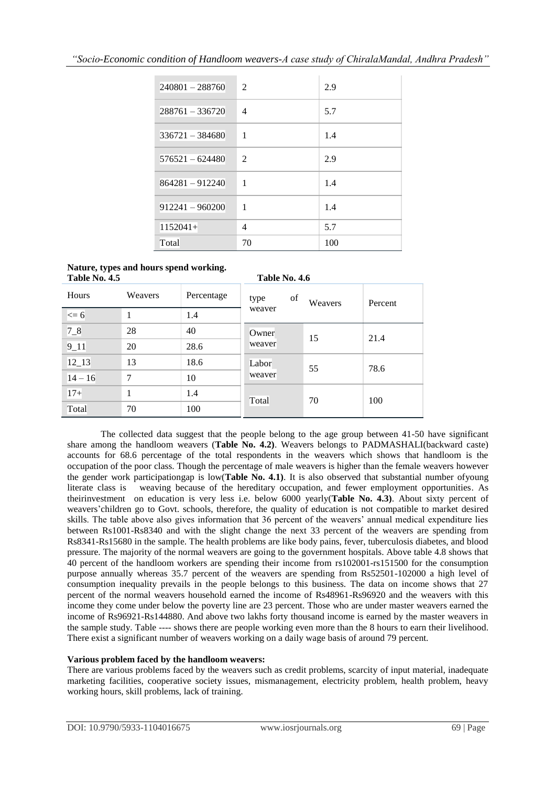| $240801 - 288760$ | $\mathfrak{D}$ | 2.9 |
|-------------------|----------------|-----|
| $288761 - 336720$ | $\overline{4}$ | 5.7 |
| $336721 - 384680$ | $\mathbf{1}$   | 1.4 |
| $576521 - 624480$ | $\mathfrak{D}$ | 2.9 |
| 864281 - 912240   | 1              | 1.4 |
| $912241 - 960200$ | $\mathbf{1}$   | 1.4 |
| $1152041+$        | $\overline{4}$ | 5.7 |
| Total             | 70             | 100 |

### **Nature, types and hours spend working.**

| Table No. 4.5 |         |            | Table No. 4.6   |         |         |
|---------------|---------|------------|-----------------|---------|---------|
| Hours         | Weavers | Percentage | of<br>type      | Weavers | Percent |
| $<= 6$        |         | 1.4        | weaver          |         |         |
| $7 - 8$       | 28      | 40         | Owner<br>weaver | 15      | 21.4    |
| $9 - 11$      | 20      | 28.6       |                 |         |         |
| $12 - 13$     | 13      | 18.6       | Labor<br>weaver | 55      | 78.6    |
| $14 - 16$     | 7       | 10         |                 |         |         |
| $17+$         | 1       | 1.4        | Total           | 70      | 100     |
| Total         | 70      | 100        |                 |         |         |

The collected data suggest that the people belong to the age group between 41-50 have significant share among the handloom weavers (**Table No. 4.2)**. Weavers belongs to PADMASHALI(backward caste) accounts for 68.6 percentage of the total respondents in the weavers which shows that handloom is the occupation of the poor class. Though the percentage of male weavers is higher than the female weavers however the gender work participationgap is low(**Table No. 4.1)**. It is also observed that substantial number ofyoung literate class is weaving because of the hereditary occupation, and fewer employment opportunities. As theirinvestment on education is very less i.e. below 6000 yearly(**Table No. 4.3)**. About sixty percent of weavers'children go to Govt. schools, therefore, the quality of education is not compatible to market desired skills. The table above also gives information that 36 percent of the weavers' annual medical expenditure lies between Rs1001-Rs8340 and with the slight change the next 33 percent of the weavers are spending from Rs8341-Rs15680 in the sample. The health problems are like body pains, fever, tuberculosis diabetes, and blood pressure. The majority of the normal weavers are going to the government hospitals. Above table 4.8 shows that 40 percent of the handloom workers are spending their income from rs102001-rs151500 for the consumption purpose annually whereas 35.7 percent of the weavers are spending from Rs52501-102000 a high level of consumption inequality prevails in the people belongs to this business. The data on income shows that 27 percent of the normal weavers household earned the income of Rs48961-Rs96920 and the weavers with this income they come under below the poverty line are 23 percent. Those who are under master weavers earned the income of Rs96921-Rs144880. And above two lakhs forty thousand income is earned by the master weavers in the sample study. Table ---- shows there are people working even more than the 8 hours to earn their livelihood. There exist a significant number of weavers working on a daily wage basis of around 79 percent.

### **Various problem faced by the handloom weavers:**

There are various problems faced by the weavers such as credit problems, scarcity of input material, inadequate marketing facilities, cooperative society issues, mismanagement, electricity problem, health problem, heavy working hours, skill problems, lack of training.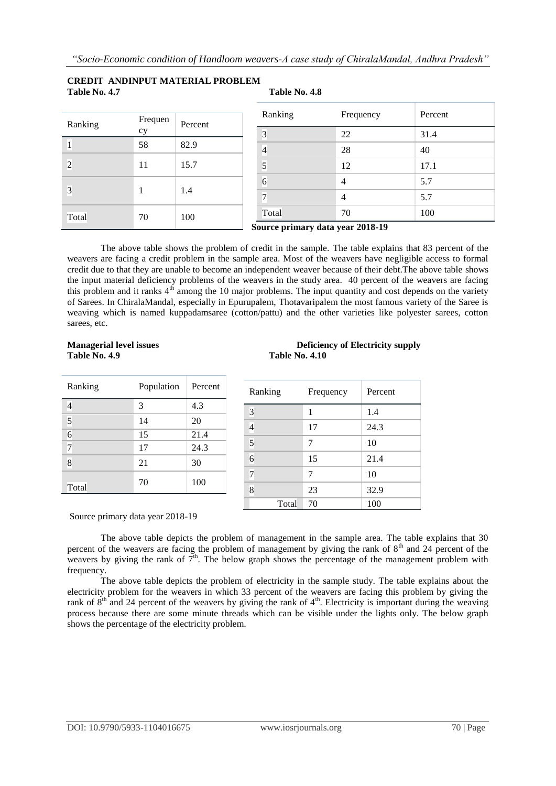#### **CREDIT ANDINPUT MATERIAL PROBLEM Table No. 4.7 Table No. 4.8**

| Ranking | Frequen<br>cy | Percent |
|---------|---------------|---------|
|         | 58            | 82.9    |
| 2       | 11            | 15.7    |
| 3       | 1             | 1.4     |
| Total   | 70            | 100     |

| Ranking | Frequency      | Percent |
|---------|----------------|---------|
| 3       | 22             | 31.4    |
| 4       | 28             | 40      |
| 5       | 12             | 17.1    |
| 6       | 4              | 5.7     |
|         | $\overline{4}$ | 5.7     |
| Total   | 70             | 100     |

The above table shows the problem of credit in the sample. The table explains that 83 percent of the weavers are facing a credit problem in the sample area. Most of the weavers have negligible access to formal credit due to that they are unable to become an independent weaver because of their debt.The above table shows the input material deficiency problems of the weavers in the study area. 40 percent of the weavers are facing this problem and it ranks  $4<sup>th</sup>$  among the 10 major problems. The input quantity and cost depends on the variety of Sarees. In ChiralaMandal, especially in Epurupalem, Thotavaripalem the most famous variety of the Saree is weaving which is named kuppadamsaree (cotton/pattu) and the other varieties like polyester sarees, cotton sarees, etc.

# **Table No. 4.9 Table No. 4.10**

| Ranking        | Population | Percent |
|----------------|------------|---------|
|                | 3          | 4.3     |
| 5              | 14         | 20      |
| $\overline{6}$ | 15         | 21.4    |
| 7              | 17         | 24.3    |
| 8              | 21         | 30      |
| Total          | 70         | 100     |

# **Managerial level issues The Community Supply September 2016 12 Deficiency of Electricity supply**

| Ranking        | Frequency | Percent |
|----------------|-----------|---------|
| 3              | 1         | 1.4     |
| $\overline{4}$ | 17        | 24.3    |
| $\overline{5}$ | 7         | 10      |
| $\overline{6}$ | 15        | 21.4    |
| 7              | 7         | 10      |
| 8              | 23        | 32.9    |
| Total          | 70        | 100     |

#### Source primary data year 2018-19

The above table depicts the problem of management in the sample area. The table explains that 30 percent of the weavers are facing the problem of management by giving the rank of  $8<sup>th</sup>$  and 24 percent of the weavers by giving the rank of  $7<sup>th</sup>$ . The below graph shows the percentage of the management problem with frequency.

The above table depicts the problem of electricity in the sample study. The table explains about the electricity problem for the weavers in which 33 percent of the weavers are facing this problem by giving the rank of  $8<sup>th</sup>$  and 24 percent of the weavers by giving the rank of  $4<sup>th</sup>$ . Electricity is important during the weaving process because there are some minute threads which can be visible under the lights only. The below graph shows the percentage of the electricity problem.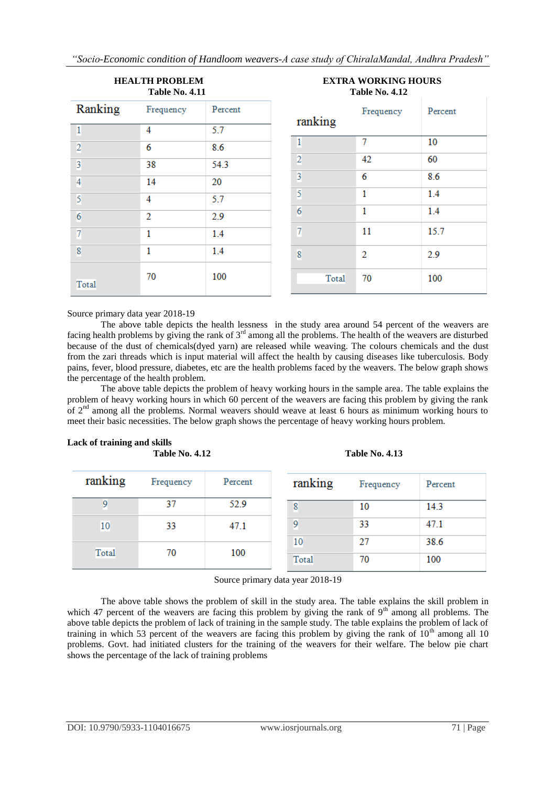*"Socio-Economic condition of Handloom weavers-A case study of ChiralaMandal, Andhra Pradesh"*

|                | <b>HEALTH PROBLEM</b><br><b>Table No. 4.11</b> |         |                | <b>EXTRA WORKING HOURS</b><br><b>Table No. 4.12</b> |         |
|----------------|------------------------------------------------|---------|----------------|-----------------------------------------------------|---------|
| Ranking        | Frequency                                      | Percent | ranking        | Frequency                                           | Percent |
| $\overline{1}$ | 4                                              | 5.7     |                |                                                     |         |
| $\overline{2}$ | 6                                              | 8.6     | 1              | 7                                                   | 10      |
| $\overline{3}$ | 38                                             | 54.3    | $\overline{2}$ | 42                                                  | 60      |
| $\overline{4}$ | 14                                             | 20      | 3              | 6                                                   | 8.6     |
| 5              | 4                                              | 5.7     | 5              | 1                                                   | 1.4     |
| 6              | 2                                              | 2.9     | 6              | 1                                                   | 1.4     |
| 7              | 1                                              | 1.4     | 7              | 11                                                  | 15.7    |
| 8              | 1                                              | 1.4     | 8              | $\overline{2}$                                      | 2.9     |
| <b>Total</b>   | 70                                             | 100     | Total          | 70                                                  | 100     |

Source primary data year 2018-19

The above table depicts the health lessness in the study area around 54 percent of the weavers are facing health problems by giving the rank of 3rd among all the problems. The health of the weavers are disturbed because of the dust of chemicals(dyed yarn) are released while weaving. The colours chemicals and the dust from the zari threads which is input material will affect the health by causing diseases like tuberculosis. Body pains, fever, blood pressure, diabetes, etc are the health problems faced by the weavers. The below graph shows the percentage of the health problem.

The above table depicts the problem of heavy working hours in the sample area. The table explains the problem of heavy working hours in which 60 percent of the weavers are facing this problem by giving the rank of  $2<sup>nd</sup>$  among all the problems. Normal weavers should weave at least 6 hours as minimum working hours to meet their basic necessities. The below graph shows the percentage of heavy working hours problem.

#### **Lack of training and skills Table No. 4.12 Table No. 4.13**

| ranking      | Frequency | Percent | ranking      | Frequency | Percent |
|--------------|-----------|---------|--------------|-----------|---------|
| У            | 37        | 52.9    | 8            | 10        | 14.3    |
| 10           | 33        | 47.1    | 9            | 33        | 47.1    |
|              |           |         | 10           | 27        | 38.6    |
| <b>Total</b> | 70        | 100     | <b>Total</b> | 70        | 100     |

Source primary data year 2018-19

The above table shows the problem of skill in the study area. The table explains the skill problem in which 47 percent of the weavers are facing this problem by giving the rank of  $9<sup>th</sup>$  among all problems. The above table depicts the problem of lack of training in the sample study. The table explains the problem of lack of training in which 53 percent of the weavers are facing this problem by giving the rank of  $10<sup>th</sup>$  among all 10 problems. Govt. had initiated clusters for the training of the weavers for their welfare. The below pie chart shows the percentage of the lack of training problems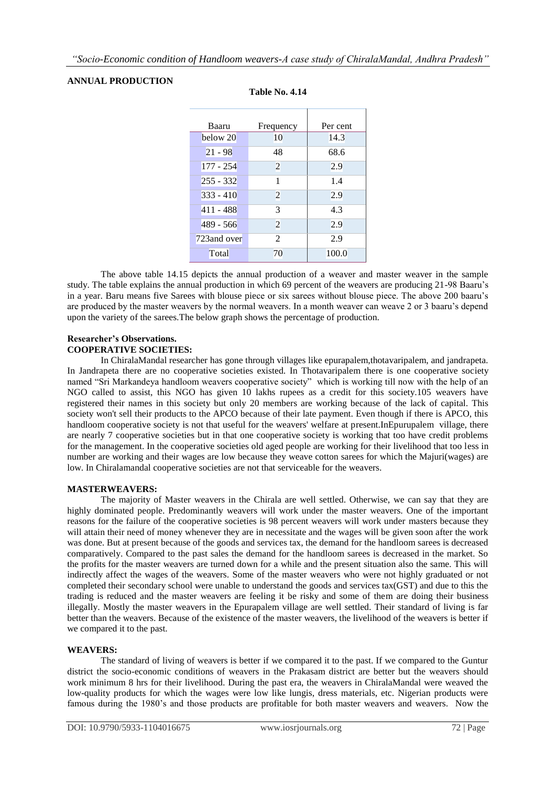#### **ANNUAL PRODUCTION**

| Baaru        | Frequency      | Per cent |
|--------------|----------------|----------|
| below 20     | 10             | 14.3     |
| $21 - 98$    | 48             | 68.6     |
| $177 - 254$  | $\overline{2}$ | 2.9      |
| $255 - 332$  | 1              | 1.4      |
| $333 - 410$  | $\overline{2}$ | 2.9      |
| $411 - 488$  | 3              | 4.3      |
| $489 - 566$  | $\overline{2}$ | 2.9      |
| 723 and over | $\overline{c}$ | 2.9      |
| Total        | 70             | 100.0    |

#### **Table No. 4.14**

The above table 14.15 depicts the annual production of a weaver and master weaver in the sample study. The table explains the annual production in which 69 percent of the weavers are producing 21-98 Baaru's in a year. Baru means five Sarees with blouse piece or six sarees without blouse piece. The above 200 baaru's are produced by the master weavers by the normal weavers. In a month weaver can weave 2 or 3 baaru's depend upon the variety of the sarees.The below graph shows the percentage of production.

#### **Researcher's Observations. COOPERATIVE SOCIETIES:**

In ChiralaMandal researcher has gone through villages like epurapalem,thotavaripalem, and jandrapeta. In Jandrapeta there are no cooperative societies existed. In Thotavaripalem there is one cooperative society named "Sri Markandeya handloom weavers cooperative society" which is working till now with the help of an NGO called to assist, this NGO has given 10 lakhs rupees as a credit for this society.105 weavers have registered their names in this society but only 20 members are working because of the lack of capital. This society won't sell their products to the APCO because of their late payment. Even though if there is APCO, this handloom cooperative society is not that useful for the weavers' welfare at present.InEpurupalem village, there are nearly 7 cooperative societies but in that one cooperative society is working that too have credit problems for the management. In the cooperative societies old aged people are working for their livelihood that too less in number are working and their wages are low because they weave cotton sarees for which the Majuri(wages) are low. In Chiralamandal cooperative societies are not that serviceable for the weavers.

#### **MASTERWEAVERS:**

The majority of Master weavers in the Chirala are well settled. Otherwise, we can say that they are highly dominated people. Predominantly weavers will work under the master weavers. One of the important reasons for the failure of the cooperative societies is 98 percent weavers will work under masters because they will attain their need of money whenever they are in necessitate and the wages will be given soon after the work was done. But at present because of the goods and services tax, the demand for the handloom sarees is decreased comparatively. Compared to the past sales the demand for the handloom sarees is decreased in the market. So the profits for the master weavers are turned down for a while and the present situation also the same. This will indirectly affect the wages of the weavers. Some of the master weavers who were not highly graduated or not completed their secondary school were unable to understand the goods and services tax(GST) and due to this the trading is reduced and the master weavers are feeling it be risky and some of them are doing their business illegally. Mostly the master weavers in the Epurapalem village are well settled. Their standard of living is far better than the weavers. Because of the existence of the master weavers, the livelihood of the weavers is better if we compared it to the past.

#### **WEAVERS:**

The standard of living of weavers is better if we compared it to the past. If we compared to the Guntur district the socio-economic conditions of weavers in the Prakasam district are better but the weavers should work minimum 8 hrs for their livelihood. During the past era, the weavers in ChiralaMandal were weaved the low-quality products for which the wages were low like lungis, dress materials, etc. Nigerian products were famous during the 1980's and those products are profitable for both master weavers and weavers. Now the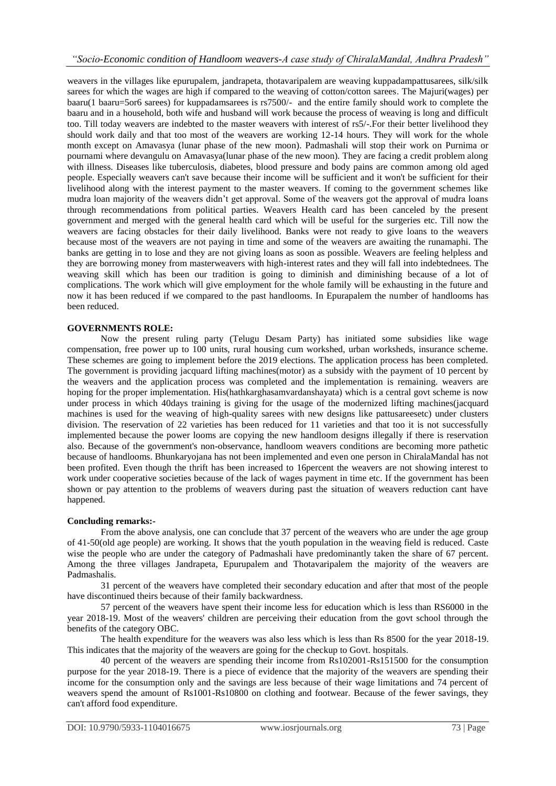weavers in the villages like epurupalem, jandrapeta, thotavaripalem are weaving kuppadampattusarees, silk/silk sarees for which the wages are high if compared to the weaving of cotton/cotton sarees. The Majuri(wages) per baaru(1 baaru=5or6 sarees) for kuppadamsarees is rs7500/- and the entire family should work to complete the baaru and in a household, both wife and husband will work because the process of weaving is long and difficult too. Till today weavers are indebted to the master weavers with interest of rs5/-.For their better livelihood they should work daily and that too most of the weavers are working 12-14 hours. They will work for the whole month except on Amavasya (lunar phase of the new moon). Padmashali will stop their work on Purnima or pournami where devangulu on Amavasya(lunar phase of the new moon). They are facing a credit problem along with illness. Diseases like tuberculosis, diabetes, blood pressure and body pains are common among old aged people. Especially weavers can't save because their income will be sufficient and it won't be sufficient for their livelihood along with the interest payment to the master weavers. If coming to the government schemes like mudra loan majority of the weavers didn't get approval. Some of the weavers got the approval of mudra loans through recommendations from political parties. Weavers Health card has been canceled by the present government and merged with the general health card which will be useful for the surgeries etc. Till now the weavers are facing obstacles for their daily livelihood. Banks were not ready to give loans to the weavers because most of the weavers are not paying in time and some of the weavers are awaiting the runamaphi. The banks are getting in to lose and they are not giving loans as soon as possible. Weavers are feeling helpless and they are borrowing money from masterweavers with high-interest rates and they will fall into indebtednees. The weaving skill which has been our tradition is going to diminish and diminishing because of a lot of complications. The work which will give employment for the whole family will be exhausting in the future and now it has been reduced if we compared to the past handlooms. In Epurapalem the number of handlooms has been reduced.

#### **GOVERNMENTS ROLE:**

Now the present ruling party (Telugu Desam Party) has initiated some subsidies like wage compensation, free power up to 100 units, rural housing cum workshed, urban worksheds, insurance scheme. These schemes are going to implement before the 2019 elections. The application process has been completed. The government is providing jacquard lifting machines(motor) as a subsidy with the payment of 10 percent by the weavers and the application process was completed and the implementation is remaining. weavers are hoping for the proper implementation. His(hathkarghasamvardanshayata) which is a central govt scheme is now under process in which 40days training is giving for the usage of the modernized lifting machines(jacquard machines is used for the weaving of high-quality sarees with new designs like pattusareesetc) under clusters division. The reservation of 22 varieties has been reduced for 11 varieties and that too it is not successfully implemented because the power looms are copying the new handloom designs illegally if there is reservation also. Because of the government's non-observance, handloom weavers conditions are becoming more pathetic because of handlooms. Bhunkaryojana has not been implemented and even one person in ChiralaMandal has not been profited. Even though the thrift has been increased to 16percent the weavers are not showing interest to work under cooperative societies because of the lack of wages payment in time etc. If the government has been shown or pay attention to the problems of weavers during past the situation of weavers reduction cant have happened.

#### **Concluding remarks:-**

From the above analysis, one can conclude that 37 percent of the weavers who are under the age group of 41-50(old age people) are working. It shows that the youth population in the weaving field is reduced. Caste wise the people who are under the category of Padmashali have predominantly taken the share of 67 percent. Among the three villages Jandrapeta, Epurupalem and Thotavaripalem the majority of the weavers are Padmashalis.

31 percent of the weavers have completed their secondary education and after that most of the people have discontinued theirs because of their family backwardness.

57 percent of the weavers have spent their income less for education which is less than RS6000 in the year 2018-19. Most of the weavers' children are perceiving their education from the govt school through the benefits of the category OBC.

The health expenditure for the weavers was also less which is less than Rs 8500 for the year 2018-19. This indicates that the majority of the weavers are going for the checkup to Govt. hospitals.

40 percent of the weavers are spending their income from Rs102001-Rs151500 for the consumption purpose for the year 2018-19. There is a piece of evidence that the majority of the weavers are spending their income for the consumption only and the savings are less because of their wage limitations and 74 percent of weavers spend the amount of Rs1001-Rs10800 on clothing and footwear. Because of the fewer savings, they can't afford food expenditure.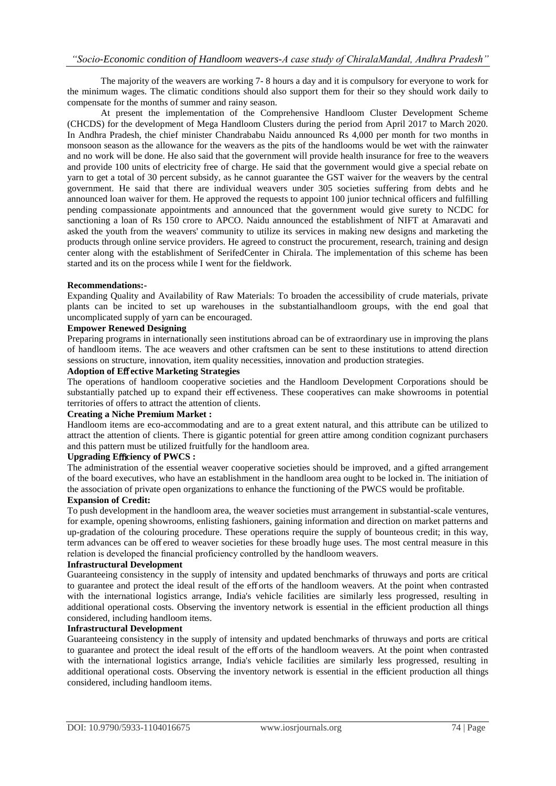The majority of the weavers are working 7- 8 hours a day and it is compulsory for everyone to work for the minimum wages. The climatic conditions should also support them for their so they should work daily to compensate for the months of summer and rainy season.

At present the implementation of the Comprehensive Handloom Cluster Development Scheme (CHCDS) for the development of Mega Handloom Clusters during the period from April 2017 to March 2020. In Andhra Pradesh, the chief minister Chandrababu Naidu announced Rs 4,000 per month for two months in monsoon season as the allowance for the weavers as the pits of the handlooms would be wet with the rainwater and no work will be done. He also said that the government will provide health insurance for free to the weavers and provide 100 units of electricity free of charge. He said that the government would give a special rebate on yarn to get a total of 30 percent subsidy, as he cannot guarantee the GST waiver for the weavers by the central government. He said that there are individual weavers under 305 societies suffering from debts and he announced loan waiver for them. He approved the requests to appoint 100 junior technical officers and fulfilling pending compassionate appointments and announced that the government would give surety to NCDC for sanctioning a loan of Rs 150 crore to APCO. Naidu announced the establishment of NIFT at Amaravati and asked the youth from the weavers' community to utilize its services in making new designs and marketing the products through online service providers. He agreed to construct the procurement, research, training and design center along with the establishment of SerifedCenter in Chirala. The implementation of this scheme has been started and its on the process while I went for the fieldwork.

#### **Recommendations:-**

Expanding Quality and Availability of Raw Materials: To broaden the accessibility of crude materials, private plants can be incited to set up warehouses in the substantialhandloom groups, with the end goal that uncomplicated supply of yarn can be encouraged.

#### **Empower Renewed Designing**

Preparing programs in internationally seen institutions abroad can be of extraordinary use in improving the plans of handloom items. The ace weavers and other craftsmen can be sent to these institutions to attend direction sessions on structure, innovation, item quality necessities, innovation and production strategies.

#### **Adoption of E**ff **ective Marketing Strategies**

The operations of handloom cooperative societies and the Handloom Development Corporations should be substantially patched up to expand their eff ectiveness. These cooperatives can make showrooms in potential territories of offers to attract the attention of clients.

#### **Creating a Niche Premium Market :**

Handloom items are eco-accommodating and are to a great extent natural, and this attribute can be utilized to attract the attention of clients. There is gigantic potential for green attire among condition cognizant purchasers and this pattern must be utilized fruitfully for the handloom area.

#### **Upgrading E**ffi**ciency of PWCS :**

The administration of the essential weaver cooperative societies should be improved, and a gifted arrangement of the board executives, who have an establishment in the handloom area ought to be locked in. The initiation of the association of private open organizations to enhance the functioning of the PWCS would be profitable.

#### **Expansion of Credit:**

To push development in the handloom area, the weaver societies must arrangement in substantial-scale ventures, for example, opening showrooms, enlisting fashioners, gaining information and direction on market patterns and up-gradation of the colouring procedure. These operations require the supply of bounteous credit; in this way, term advances can be off ered to weaver societies for these broadly huge uses. The most central measure in this relation is developed the financial proficiency controlled by the handloom weavers.

#### **Infrastructural Development**

Guaranteeing consistency in the supply of intensity and updated benchmarks of thruways and ports are critical to guarantee and protect the ideal result of the eff orts of the handloom weavers. At the point when contrasted with the international logistics arrange, India's vehicle facilities are similarly less progressed, resulting in additional operational costs. Observing the inventory network is essential in the efficient production all things considered, including handloom items.

#### **Infrastructural Development**

Guaranteeing consistency in the supply of intensity and updated benchmarks of thruways and ports are critical to guarantee and protect the ideal result of the eff orts of the handloom weavers. At the point when contrasted with the international logistics arrange, India's vehicle facilities are similarly less progressed, resulting in additional operational costs. Observing the inventory network is essential in the efficient production all things considered, including handloom items.